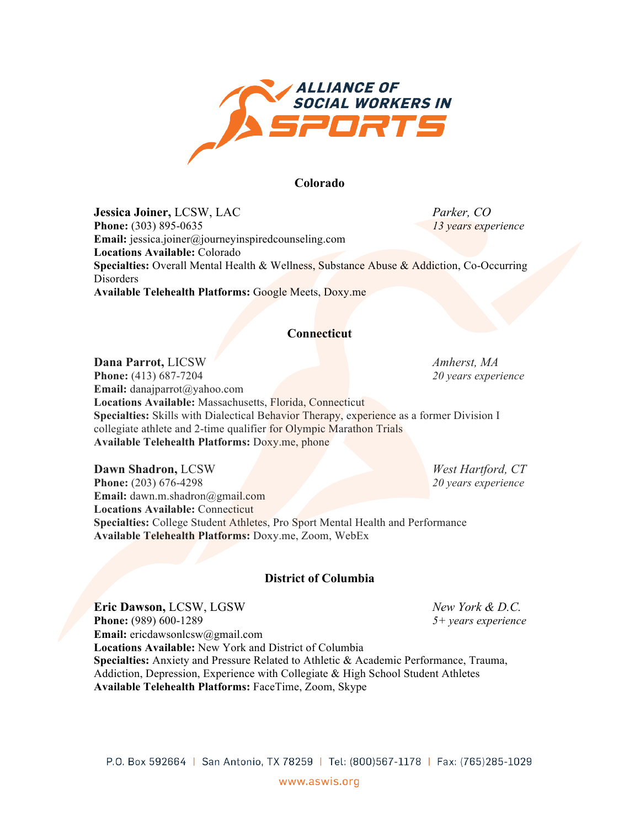

# **Colorado**

**Jessica Joiner,** LCSW, LAC *Parker, CO* **Phone:** (303) 895-0635 *13 years experience* **Email: jessica.joiner@journeyinspiredcounseling.com Locations Available:** Colorado **Specialties:** Overall Mental Health & Wellness, Substance Abuse & Addiction, Co-Occurring Disorders **Available Telehealth Platforms:** Google Meets, Doxy.me

# **Connecticut**

**Dana Parrot,** LICSW **Amherst, MA Phone:** (413) 687-7204 *20 years experience* **Email:** danajparrot@yahoo.com **Locations Available:** Massachusetts, Florida, Connecticut **Specialties:** Skills with Dialectical Behavior Therapy, experience as a former Division I collegiate athlete and 2-time qualifier for Olympic Marathon Trials **Available Telehealth Platforms:** Doxy.me, phone

**Dawn Shadron,** LCSW *West Hartford, CT* **Phone:** (203) 676-4298 **20 years experience Email:** dawn.m.shadron@gmail.com **Locations Available:** Connecticut **Specialties:** College Student Athletes, Pro Sport Mental Health and Performance **Available Telehealth Platforms:** Doxy.me, Zoom, WebEx

# **District of Columbia**

**Eric Dawson, LCSW, LGSW New York & D.C. Phone:** (989) 600-1289 *5+ years experience* **Email:** ericdawsonlcsw@gmail.com **Locations Available:** New York and District of Columbia **Specialties:** Anxiety and Pressure Related to Athletic & Academic Performance, Trauma, Addiction, Depression, Experience with Collegiate & High School Student Athletes **Available Telehealth Platforms:** FaceTime, Zoom, Skype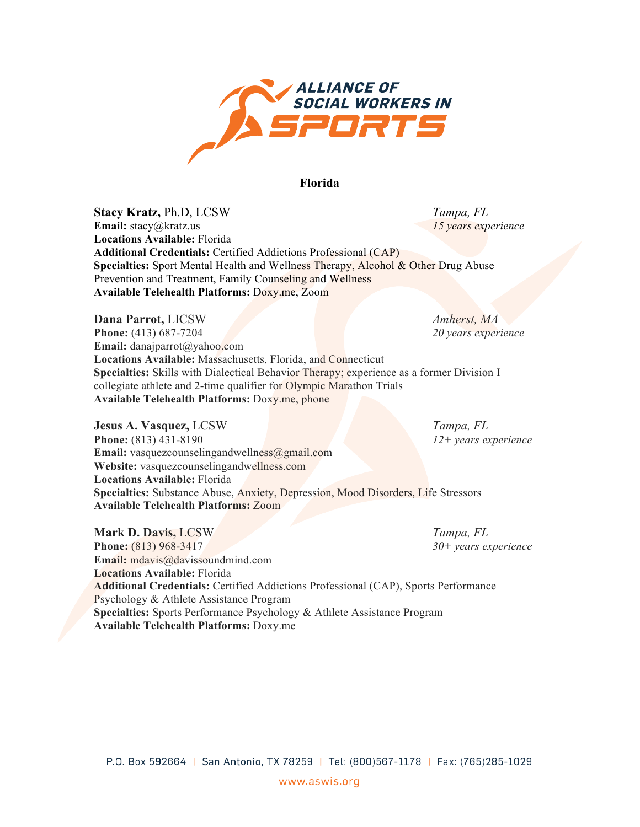

## **Florida**

**Stacy Kratz,** Ph.D, LCSW *Tampa, FL* **Email:** stacy@kratz.us *15 years experience* **Locations Available:** Florida **Additional Credentials:** Certified Addictions Professional (CAP) **Specialties:** Sport Mental Health and Wellness Therapy, Alcohol & Other Drug Abuse Prevention and Treatment, Family Counseling and Wellness **Available Telehealth Platforms:** Doxy.me, Zoom

**Dana Parrot,** LICSW *Amherst, MA* **Phone:** (413) 687-7204 20 years experience **Email:** danajparrot@yahoo.com **Locations Available:** Massachusetts, Florida, and Connecticut **Specialties:** Skills with Dialectical Behavior Therapy; experience as a former Division I collegiate athlete and 2-time qualifier for Olympic Marathon Trials **Available Telehealth Platforms:** Doxy.me, phone

**Jesus A. Vasquez,** LCSW *Tampa, FL* **Phone:** (813) 431-8190 *12+ years experience* **Email:** vasquezcounselingandwellness@gmail.com **Website:** vasquezcounselingandwellness.com **Locations Available:** Florida **Specialties:** Substance Abuse, Anxiety, Depression, Mood Disorders, Life Stressors **Available Telehealth Platforms:** Zoom

**Mark D. Davis,** LCSW *Tampa, FL*

**Phone:** (813) 968-3417 **30+ years experience Email:** mdavis@davissoundmind.com **Locations Available:** Florida **Additional Credentials:** Certified Addictions Professional (CAP), Sports Performance Psychology & Athlete Assistance Program **Specialties:** Sports Performance Psychology & Athlete Assistance Program **Available Telehealth Platforms:** Doxy.me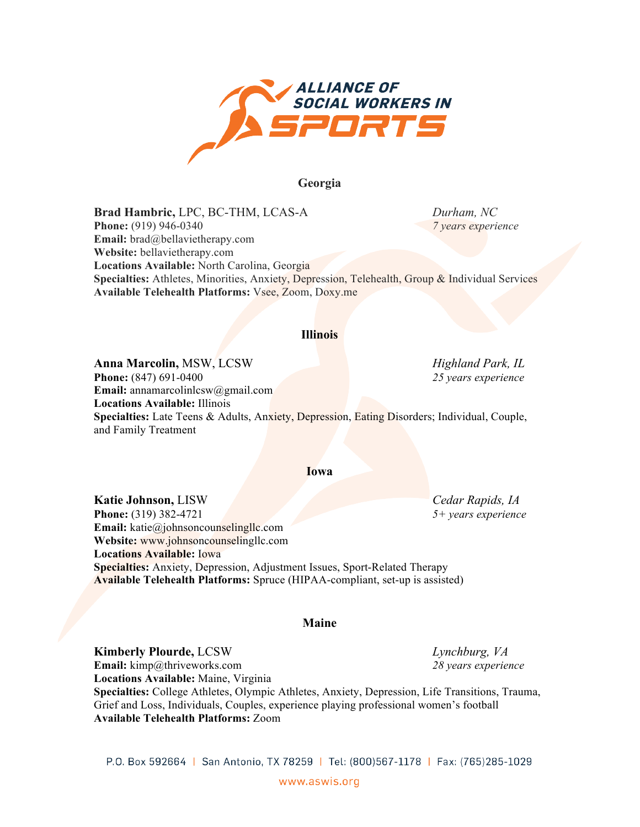

# **Georgia**

**Brad Hambric,** LPC, BC-THM, LCAS-A *Durham, NC* **Phone:** (919) 946-0340 *7 years experience* **Email:** brad@bellavietherapy.com **Website:** bellavietherapy.com **Locations Available:** North Carolina, Georgia **Specialties:** Athletes, Minorities, Anxiety, Depression, Telehealth, Group & Individual Services **Available Telehealth Platforms:** Vsee, Zoom, Doxy.me

## **Illinois**

**Anna Marcolin,** MSW, LCSW *Highland Park, IL* **Phone:** (847) 691-0400 **25** years experience **Email:** annamarcolinlcsw@gmail.com **Locations Available:** Illinois **Specialties:** Late Teens & Adults, Anxiety, Depression, Eating Disorders; Individual, Couple, and Family Treatment

### **Iowa**

**Katie Johnson,** LISW *Cedar Rapids, IA* **Phone:** (319) 382-4721 *5+ years experience* **Email:** katie@johnsoncounselingllc.com **Website:** www.johnsoncounselingllc.com **Locations Available:** Iowa **Specialties:** Anxiety, Depression, Adjustment Issues, Sport-Related Therapy **Available Telehealth Platforms:** Spruce (HIPAA-compliant, set-up is assisted)

#### **Maine**

**Kimberly Plourde,** LCSW *Lynchburg, VA*

**Email:** kimp@thriveworks.com *28 years experience* **Locations Available:** Maine, Virginia

**Specialties:** College Athletes, Olympic Athletes, Anxiety, Depression, Life Transitions, Trauma, Grief and Loss, Individuals, Couples, experience playing professional women's football **Available Telehealth Platforms:** Zoom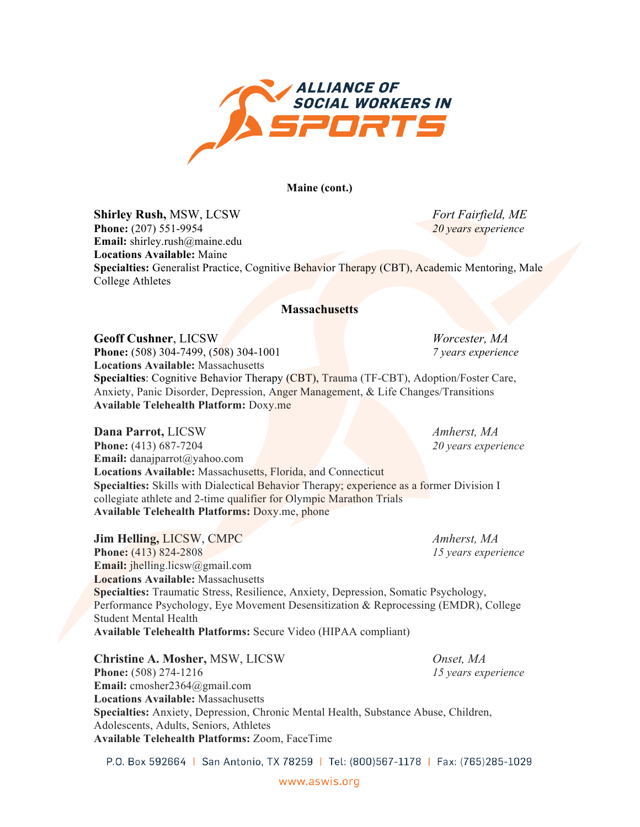

**Maine (cont.)**

# **Shirley Rush,** MSW, LCSW *Fort Fairfield, ME* **Phone:** (207) 551-9954 *20 years experience* **Email:** shirley.rush@maine.edu **Locations Available:** Maine **Specialties:** Generalist Practice, Cognitive Behavior Therapy (CBT), Academic Mentoring, Male College Athletes

## **Massachusetts**

**Geoff Cushner**, LICSW *Worcester, MA* **Phone:** (508) 304-7499, (508) 304-1001 *7 years experience* **Locations Available:** Massachusetts **Specialties**: Cognitive Behavior Therapy (CBT), Trauma (TF-CBT), Adoption/Foster Care, Anxiety, Panic Disorder, Depression, Anger Management, & Life Changes/Transitions **Available Telehealth Platform:** Doxy.me

**Dana Parrot,** LICSW *Amherst, MA* **Phone:** (413) 687-7204 **20 years experience Email:** danajparrot@yahoo.com Locations Available: Massachusetts, Florida, and Connecticut **Specialties:** Skills with Dialectical Behavior Therapy; experience as a former Division I collegiate athlete and 2-time qualifier for Olympic Marathon Trials **Available Telehealth Platforms:** Doxy.me, phone

**Jim Helling,** LICSW, CMPC *Amherst, MA* **Phone:** (413) 824-2808 **15 years experience Email:** jhelling.licsw@gmail.com **Locations Available:** Massachusetts **Specialties:** Traumatic Stress, Resilience, Anxiety, Depression, Somatic Psychology, Performance Psychology, Eye Movement Desensitization & Reprocessing (EMDR), College Student Mental Health **Available Telehealth Platforms:** Secure Video (HIPAA compliant)

**Christine A. Mosher,** MSW, LICSW *Onset, MA* **Phone:** (508) 274-1216 *15 years experience* **Email:** cmosher2364@gmail.com **Locations Available:** Massachusetts **Specialties:** Anxiety, Depression, Chronic Mental Health, Substance Abuse, Children, Adolescents, Adults, Seniors, Athletes **Available Telehealth Platforms:** Zoom, FaceTime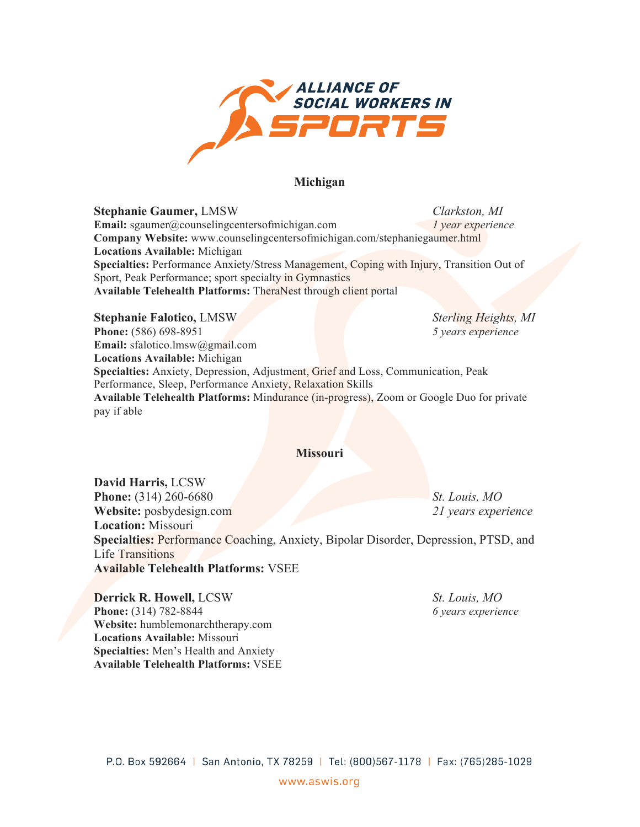

# **Michigan**

**Stephanie Gaumer,** LMSW *Clarkston, MI* **Email:** sgaumer@counselingcentersofmichigan.com *1 year experience* **Company Website:** www.counselingcentersofmichigan.com/stephaniegaumer.html **Locations Available:** Michigan **Specialties:** Performance Anxiety/Stress Management, Coping with Injury, Transition Out of Sport, Peak Performance; sport specialty in Gymnastics **Available Telehealth Platforms:** TheraNest through client portal

## **Stephanie Falotico,** LMSW *Sterling Heights, MI*

**Phone:** (586) 698-8951 *5 years experience* **Email:** sfalotico.lmsw@gmail.com **Locations Available:** Michigan **Specialties:** Anxiety, Depression, Adjustment, Grief and Loss, Communication, Peak Performance, Sleep, Performance Anxiety, Relaxation Skills **Available Telehealth Platforms:** Mindurance (in-progress), Zoom or Google Duo for private pay if able

## **Missouri**

**David Harris,** LCSW **Phone:** (314) 260-6680 *St. Louis, MO* **Website:** posbydesign.com *21 years experience* **Location:** Missouri **Specialties:** Performance Coaching, Anxiety, Bipolar Disorder, Depression, PTSD, and Life Transitions **Available Telehealth Platforms:** VSEE

**Derrick R. Howell, LCSW** 8. **St. Louis, MO Phone:** (314) 782-8844 *6 years experience* **Website:** humblemonarchtherapy.com **Locations Available:** Missouri **Specialties:** Men's Health and Anxiety **Available Telehealth Platforms:** VSEE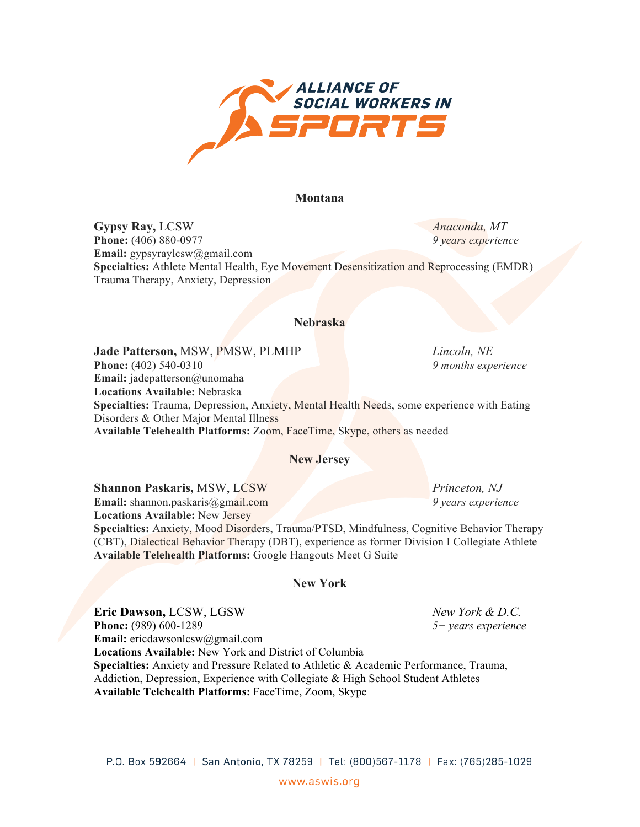

### **Montana**

**Gypsy Ray,** LCSW *Anaconda, MT* **Phone:** (406) 880-0977 *9 years experience* **Email:** gypsyraylcsw@gmail.com **Specialties:** Athlete Mental Health, Eye Movement Desensitization and Reprocessing (EMDR) Trauma Therapy, Anxiety, Depression

# **Nebraska**

**Jade Patterson,** MSW, PMSW, PLMHP *Lincoln, NE* **Phone:** (402) 540-0310 *9 months experience* **Email:** jadepatterson@unomaha **Locations Available:** Nebraska **Specialties:** Trauma, Depression, Anxiety, Mental Health Needs, some experience with Eating Disorders & Other Major Mental Illness **Available Telehealth Platforms:** Zoom, FaceTime, Skype, others as needed

## **New Jersey**

**Shannon Paskaris,** MSW, LCSW *Princeton, NJ* **Email:** shannon.paskaris@gmail.com *9 years experience* **Locations Available:** New Jersey **Specialties:** Anxiety, Mood Disorders, Trauma/PTSD, Mindfulness, Cognitive Behavior Therapy (CBT), Dialectical Behavior Therapy (DBT), experience as former Division I Collegiate Athlete **Available Telehealth Platforms:** Google Hangouts Meet G Suite

#### **New York**

**Eric Dawson, LCSW, LGSW New York & D.C. Phone:** (989) 600-1289 *5+ years experience* **Email:** ericdawsonlcsw@gmail.com **Locations Available:** New York and District of Columbia **Specialties:** Anxiety and Pressure Related to Athletic & Academic Performance, Trauma, Addiction, Depression, Experience with Collegiate & High School Student Athletes **Available Telehealth Platforms:** FaceTime, Zoom, Skype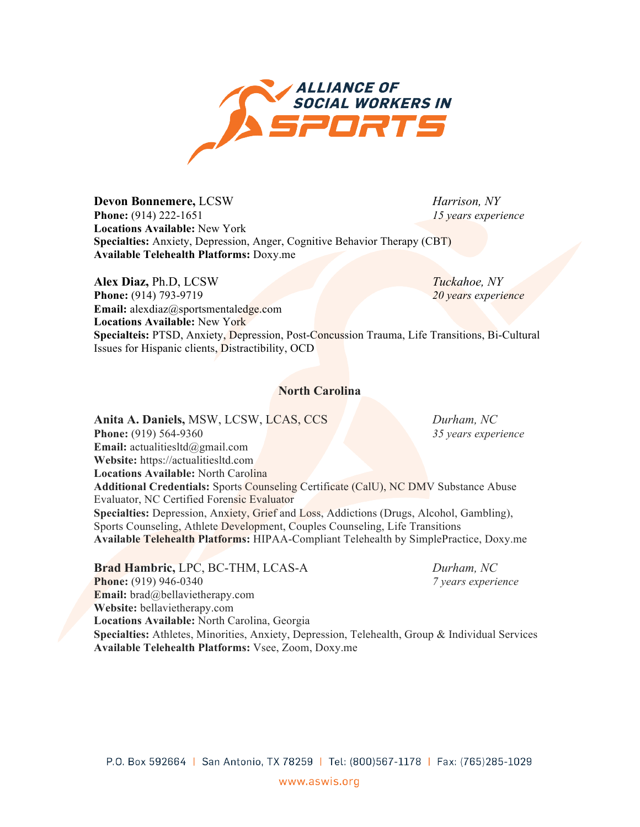

**Devon Bonnemere,** LCSW *Harrison, NY* **Phone:** (914) 222-1651 *15 years experience* **Locations Available:** New York **Specialties:** Anxiety, Depression, Anger, Cognitive Behavior Therapy (CBT) **Available Telehealth Platforms:** Doxy.me

**Alex Diaz,** Ph.D, LCSW *Tuckahoe, NY* **Phone:** (914) 793-9719 *20 years experience* **Email:** alexdiaz@sportsmentaledge.com **Locations Available:** New York **Specialteis:** PTSD, Anxiety, Depression, Post-Concussion Trauma, Life Transitions, Bi-Cultural Issues for Hispanic clients, Distractibility, OCD

# **North Carolina**

**Anita A. Daniels,** MSW, LCSW, LCAS, CCS *Durham, NC* **Phone:** (919) 564-9360 35 years experience **Email:** actualitiesltd@gmail.com **Website:** https://actualitiesltd.com **Locations Available:** North Carolina **Additional Credentials:** Sports Counseling Certificate (CalU), NC DMV Substance Abuse Evaluator, NC Certified Forensic Evaluator **Specialties:** Depression, Anxiety, Grief and Loss, Addictions (Drugs, Alcohol, Gambling), Sports Counseling, Athlete Development, Couples Counseling, Life Transitions **Available Telehealth Platforms:** HIPAA-Compliant Telehealth by SimplePractice, Doxy.me

**Brad Hambric,** LPC, BC-THM, LCAS-A *Durham, NC* **Phone:** (919) 946-0340 *7 years experience* **Email:** brad@bellavietherapy.com **Website:** bellavietherapy.com **Locations Available:** North Carolina, Georgia **Specialties:** Athletes, Minorities, Anxiety, Depression, Telehealth, Group & Individual Services **Available Telehealth Platforms:** Vsee, Zoom, Doxy.me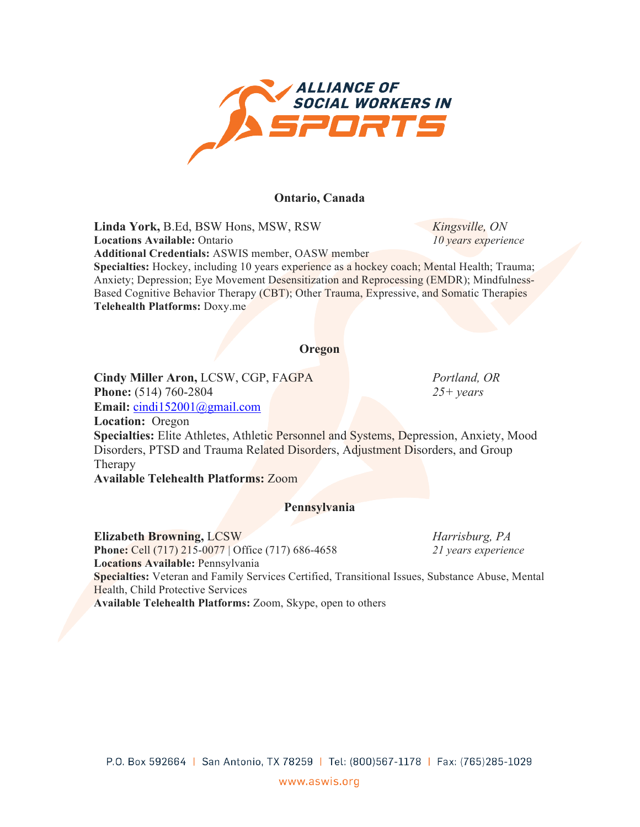

# **Ontario, Canada**

**Linda York,** B.Ed, BSW Hons, MSW, RSW *Kingsville, ON* **Locations Available:** Ontario *10 years experience* **Additional Credentials:** ASWIS member, OASW member

**Specialties:** Hockey, including 10 years experience as a hockey coach; Mental Health; Trauma; Anxiety; Depression; Eye Movement Desensitization and Reprocessing (EMDR); Mindfulness-Based Cognitive Behavior Therapy (CBT); Other Trauma, Expressive, and Somatic Therapies **Telehealth Platforms:** Doxy.me

## **Oregon**

**Cindy Miller Aron,** LCSW, CGP, FAGPA *Portland, OR* **Phone:** (514) 760-2804 25+ years **Email:** [cindi152001@gmail.com](mailto:cindi152001@gmail.com) **Location:** Oregon **Specialties:** Elite Athletes, Athletic Personnel and Systems, Depression, Anxiety, Mood Disorders, PTSD and Trauma Related Disorders, Adjustment Disorders, and Group Therapy **Available Telehealth Platforms:** Zoom

# **Pennsylvania**

**Elizabeth Browning,** LCSW *Harrisburg, PA* **Phone:** Cell (717) 215-0077 | Office (717) 686-4658 *21 years experience* **Locations Available:** Pennsylvania **Specialties:** Veteran and Family Services Certified, Transitional Issues, Substance Abuse, Mental Health, Child Protective Services **Available Telehealth Platforms:** Zoom, Skype, open to others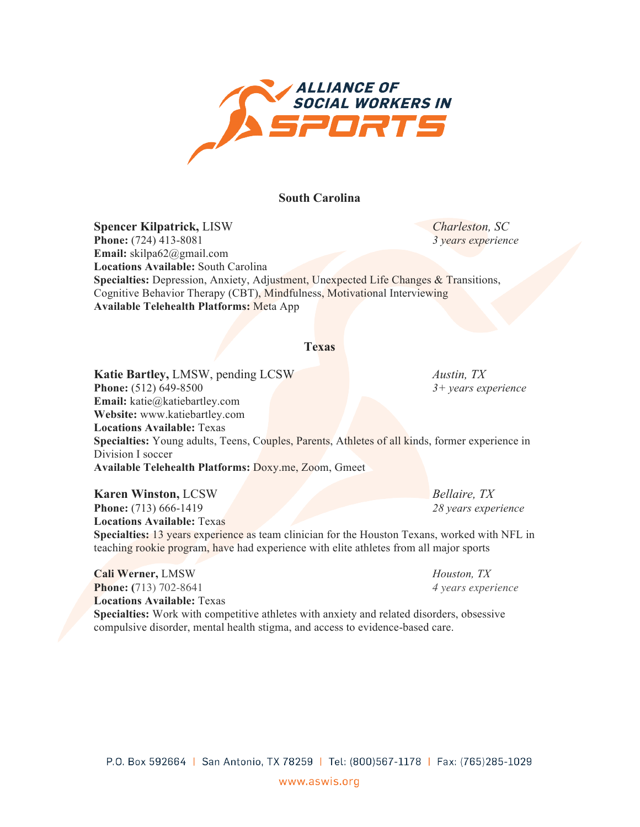

# **South Carolina**

**Spencer Kilpatrick,** LISW *Charleston, SC* **Phone:** (724) 413-8081 **3** years experience **Email:** skilpa62@gmail.com **Locations Available:** South Carolina **Specialties:** Depression, Anxiety, Adjustment, Unexpected Life Changes & Transitions, Cognitive Behavior Therapy (CBT), Mindfulness, Motivational Interviewing **Available Telehealth Platforms:** Meta App

## **Texas**

**Katie Bartley,** LMSW, pending LCSW *Austin, TX* **Phone:** (512) 649-8500 **3+** years experience **Email:** katie@katiebartley.com **Website:** www.katiebartley.com **Locations Available:** Texas **Specialties:** Young adults, Teens, Couples, Parents, Athletes of all kinds, former experience in Division I soccer **Available Telehealth Platforms:** Doxy.me, Zoom, Gmeet

**Karen Winston,** LCSW *Bellaire, TX* **Phone:** (713) 666-1419 **28** years experience **Locations Available:** Texas

**Specialties:** 13 years experience as team clinician for the Houston Texans, worked with NFL in teaching rookie program, have had experience with elite athletes from all major sports

**Cali Werner,** LMSW *Houston, TX* **Phone: (**713) 702-8641 *4 years experience* **Locations Available:** Texas **Specialties:** Work with competitive athletes with anxiety and related disorders, obsessive compulsive disorder, mental health stigma, and access to evidence-based care.